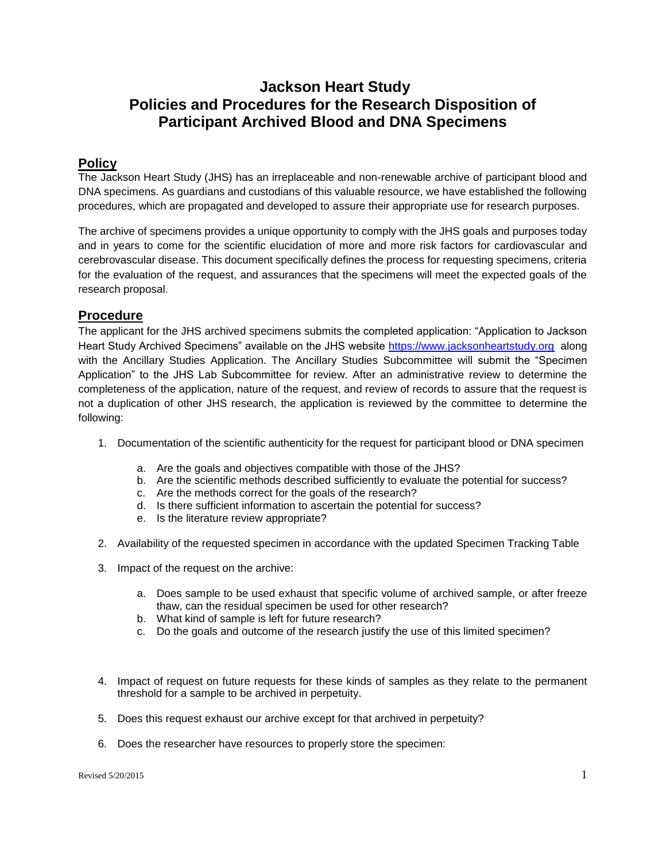# **Jackson Heart Study Policies and Procedures for the Research Disposition of Participant Archived Blood and DNA Specimens**

### **Policy**

The Jackson Heart Study (JHS) has an irreplaceable and non-renewable archive of participant blood and DNA specimens. As guardians and custodians of this valuable resource, we have established the following procedures, which are propagated and developed to assure their appropriate use for research purposes.

The archive of specimens provides a unique opportunity to comply with the JHS goals and purposes today and in years to come for the scientific elucidation of more and more risk factors for cardiovascular and cerebrovascular disease. This document specifically defines the process for requesting specimens, criteria for the evaluation of the request, and assurances that the specimens will meet the expected goals of the research proposal.

## **Procedure**

The applicant for the JHS archived specimens submits the completed application: "Application to Jackson Heart Study Archived Specimens" available on the JHS website [https://www.jacksonheartstudy.org](https://www.jacksonheartstudy.org/) along with the Ancillary Studies Application. The Ancillary Studies Subcommittee will submit the "Specimen Application" to the JHS Lab Subcommittee for review. After an administrative review to determine the completeness of the application, nature of the request, and review of records to assure that the request is not a duplication of other JHS research, the application is reviewed by the committee to determine the following:

- 1. Documentation of the scientific authenticity for the request for participant blood or DNA specimen
	- a. Are the goals and objectives compatible with those of the JHS?
	- b. Are the scientific methods described sufficiently to evaluate the potential for success?
	- c. Are the methods correct for the goals of the research?
	- d. Is there sufficient information to ascertain the potential for success?
	- e. Is the literature review appropriate?
- 2. Availability of the requested specimen in accordance with the updated Specimen Tracking Table
- 3. Impact of the request on the archive:
	- a. Does sample to be used exhaust that specific volume of archived sample, or after freeze thaw, can the residual specimen be used for other research?
	- b. What kind of sample is left for future research?
	- c. Do the goals and outcome of the research justify the use of this limited specimen?
- 4. Impact of request on future requests for these kinds of samples as they relate to the permanent threshold for a sample to be archived in perpetuity.
- 5. Does this request exhaust our archive except for that archived in perpetuity?
- 6. Does the researcher have resources to properly store the specimen: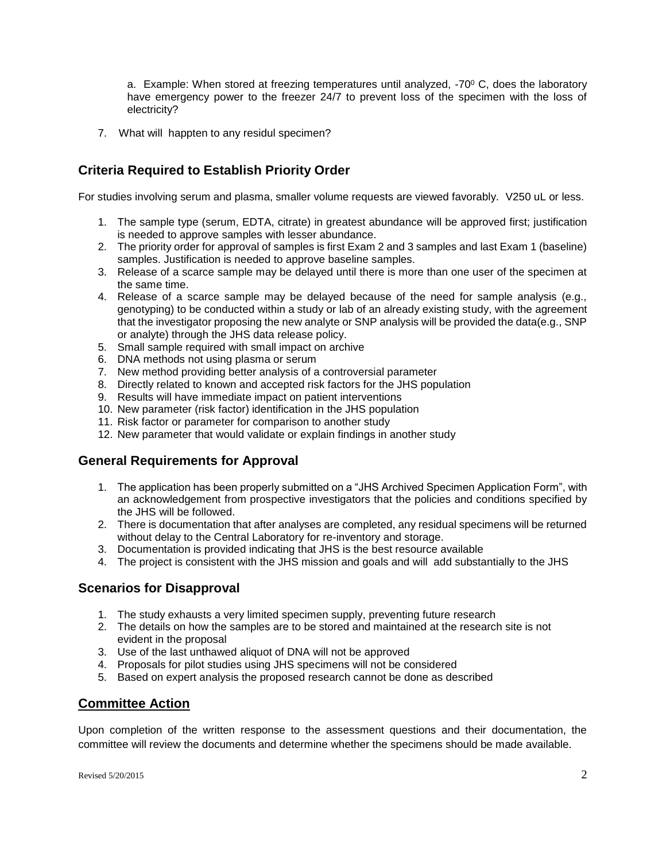a. Example: When stored at freezing temperatures until analyzed,  $-70^{\circ}$  C, does the laboratory have emergency power to the freezer 24/7 to prevent loss of the specimen with the loss of electricity?

7. What will happten to any residul specimen?

## **Criteria Required to Establish Priority Order**

For studies involving serum and plasma, smaller volume requests are viewed favorably. V250 uL or less.

- 1. The sample type (serum, EDTA, citrate) in greatest abundance will be approved first; justification is needed to approve samples with lesser abundance.
- 2. The priority order for approval of samples is first Exam 2 and 3 samples and last Exam 1 (baseline) samples. Justification is needed to approve baseline samples.
- 3. Release of a scarce sample may be delayed until there is more than one user of the specimen at the same time.
- 4. Release of a scarce sample may be delayed because of the need for sample analysis (e.g., genotyping) to be conducted within a study or lab of an already existing study, with the agreement that the investigator proposing the new analyte or SNP analysis will be provided the data(e.g., SNP or analyte) through the JHS data release policy.
- 5. Small sample required with small impact on archive
- 6. DNA methods not using plasma or serum
- 7. New method providing better analysis of a controversial parameter
- 8. Directly related to known and accepted risk factors for the JHS population
- 9. Results will have immediate impact on patient interventions
- 10. New parameter (risk factor) identification in the JHS population
- 11. Risk factor or parameter for comparison to another study
- 12. New parameter that would validate or explain findings in another study

## **General Requirements for Approval**

- 1. The application has been properly submitted on a "JHS Archived Specimen Application Form", with an acknowledgement from prospective investigators that the policies and conditions specified by the JHS will be followed.
- 2. There is documentation that after analyses are completed, any residual specimens will be returned without delay to the Central Laboratory for re-inventory and storage.
- 3. Documentation is provided indicating that JHS is the best resource available
- 4. The project is consistent with the JHS mission and goals and will add substantially to the JHS

#### **Scenarios for Disapproval**

- 1. The study exhausts a very limited specimen supply, preventing future research
- 2. The details on how the samples are to be stored and maintained at the research site is not evident in the proposal
- 3. Use of the last unthawed aliquot of DNA will not be approved
- 4. Proposals for pilot studies using JHS specimens will not be considered
- 5. Based on expert analysis the proposed research cannot be done as described

## **Committee Action**

Upon completion of the written response to the assessment questions and their documentation, the committee will review the documents and determine whether the specimens should be made available.